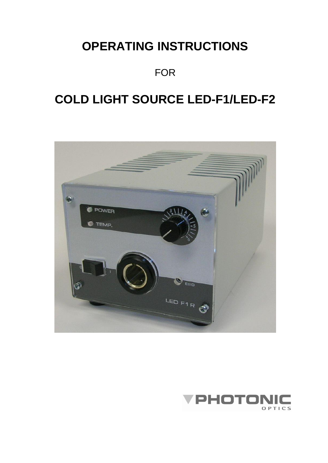# **OPERATING INSTRUCTIONS**

FOR

# **COLD LIGHT SOURCE LED-F1/LED-F2**



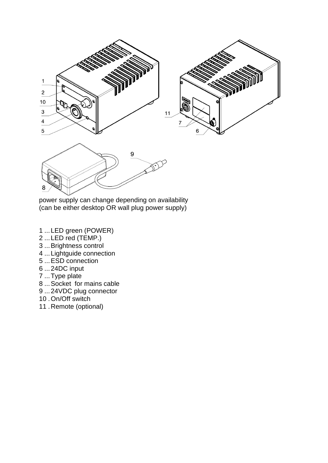

power supply can change depending on availability (can be either desktop OR wall plug power supply)

- ...LED green (POWER)
- ...LED red (TEMP.)
- ...Brightness control
- ...Lightguide connection
- ...ESD connection
- ...24DC input
- ...Type plate
- ...Socket for mains cable
- ...24VDC plug connector
- .On/Off switch
- .Remote (optional)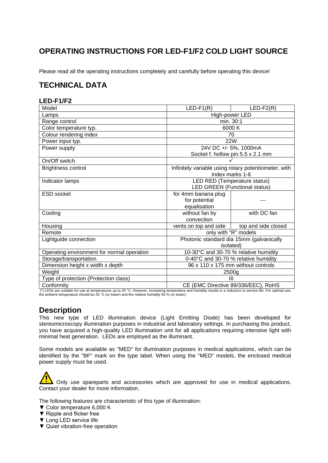# **OPERATING INSTRUCTIONS FOR LED-F1/F2 COLD LIGHT SOURCE**

Please read all the operating instructions completely and carefully before operating this device!

# **TECHNICAL DATA**

# **LED-F1/F2**

| Model                                      | $LED-F1(R)$                           | $LED-F2(R)$                                          |  |  |  |
|--------------------------------------------|---------------------------------------|------------------------------------------------------|--|--|--|
| Lamps                                      | High-power LED                        |                                                      |  |  |  |
| Range control                              | min. 30:1                             |                                                      |  |  |  |
| Color temperature typ.                     |                                       | 6000K                                                |  |  |  |
| Colour rendering index                     |                                       | 70                                                   |  |  |  |
| Power input typ.                           |                                       | <b>22W</b>                                           |  |  |  |
| Power supply                               |                                       | 24V DC +/- 5%, 1000mA                                |  |  |  |
|                                            |                                       | Socket f. hollow pin 5.5 x 2.1 mm                    |  |  |  |
| On/Off switch                              |                                       |                                                      |  |  |  |
| Brightness control                         |                                       | Infinitely variable using rotary potentiometer, with |  |  |  |
|                                            |                                       | Index marks 1-6                                      |  |  |  |
| Indicator lamps                            |                                       | LED RED (Temperature status)                         |  |  |  |
|                                            |                                       | <b>LED GREEN (Functional status)</b>                 |  |  |  |
| <b>ESD</b> socket                          | for 4mm banana plug                   |                                                      |  |  |  |
|                                            | for potential                         |                                                      |  |  |  |
|                                            | equalisation                          |                                                      |  |  |  |
| Cooling                                    | without fan by                        | with DC fan                                          |  |  |  |
|                                            | convection                            |                                                      |  |  |  |
| Housing                                    | vents on top and side                 | top and side closed                                  |  |  |  |
| Remote                                     | only with "R" models                  |                                                      |  |  |  |
| Lightguide connection                      |                                       | Photonic standard dia 15mm (galvanically             |  |  |  |
|                                            |                                       | <i>isolated</i> )                                    |  |  |  |
| Operating environment for normal operation | 10-30°C and 30-70 % relative humidity |                                                      |  |  |  |
| Storage/transportation                     | 0-40°C and 30-70 % relative humidity  |                                                      |  |  |  |
| Dimension height x width x depth           | 96 x 110 x 175 mm without controls    |                                                      |  |  |  |
| Weight                                     | 2500g                                 |                                                      |  |  |  |
| Type of protection (Protection class)      | Ш                                     |                                                      |  |  |  |
| Conformity                                 | CE (EMC Directive 89/336/EEC), RoHS   |                                                      |  |  |  |

(\*) LEDs are suitable for use at temperatures up to 40 °C. However, increasing temperature and humidity results in a reduction in service life. For optimal use, the ambient temperature should be 25 °C (or lower) and the relative humidity 50 % (or lower).

# **Description**

This new type of LED illumination device (Light Emitting Diode) has been developed for stereomicroscopy illumination purposes in industrial and laboratory settings. In purchasing this product, you have acquired a high-quality LED illumination unit for all applications requiring intensive light with minimal heat generation. LEDs are employed as the illuminant.

Some models are available as "MED" for illumination purposes in medical applications, which can be [identifie](http://dict.leo.org/ende?lp=ende&p=HJfPXW&search=identifiable)d by the "BF" mark on the type label. When using the "MED" models, the enclosed medical power supply must be used.

Only use spareparts and accessories which are approved for use in medical applications. Contact your dealer for more information.

The following features are characteristic of this type of illumination:

- ▼ Color temperature 6,000 K
- ▼ Ripple and flicker free
- ▼ Long LED service life
- ▼ Quiet vibration-free operation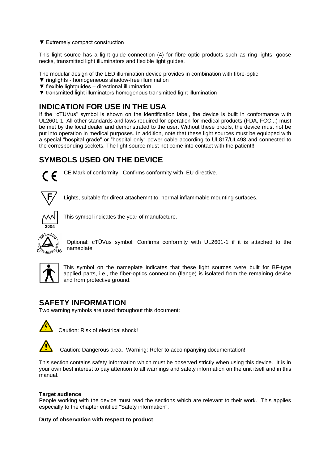▼ Extremely compact construction

This light source has a light guide connection (4) for fibre optic products such as ring lights, goose necks, transmitted light illuminators and flexible light guides.

The modular design of the LED illumination device provides in combination with fibre-optic

- ▼ ringlights homogeneous shadow-free illumination
- $\blacktriangledown$  flexible lightguides directional illumination
- ▼ transmitted light illuminators homogenous transmitted light illumination

# **INDICATION FOR USE IN THE USA**

If the "cTUVus" symbol is shown on the identification label, the device is built in conformance with UL2601-1. All other standards and laws required for operation for medical products (FDA, FCC...) must be met by the local dealer and demonstrated to the user. Without these proofs, the device must not be put into operation in medical purposes. In addition, note that these light sources must be equipped with a special "hospital grade" or "hospital only" power cable according to UL817/UL498 and connected to the corresponding sockets. The light source must not come into contact with the patient!!

# **SYMBOLS USED ON THE DEVICE**



CE Mark of conformity: Confirms conformity with EU directive.



Lights, suitable for direct attachemnt to normal inflammable mounting surfaces.



This symbol indicates the year of manufacture.



Optional: cTÜVus symbol: Confirms conformity with UL2601-1 if it is attached to the nameplate



This symbol on the nameplate indicates that these light sources were built for BF-type applied parts, i.e., the fiber-optics connection (flange) is isolated from the remaining device and from protective ground.

# **SAFETY INFORMATION**

Two warning symbols are used throughout this document:



Caution: Risk of electrical shock!

Caution: Dangerous area. Warning: Refer to accompanying documentation!

This section contains safety information which must be observed strictly when using this device. It is in your own best interest to pay attention to all warnings and safety information on the unit itself and in this manual.

## **Target audience**

People working with the device must read the sections which are relevant to their work. This applies especially to the chapter entitled "Safety information".

**Duty of observation with respect to product**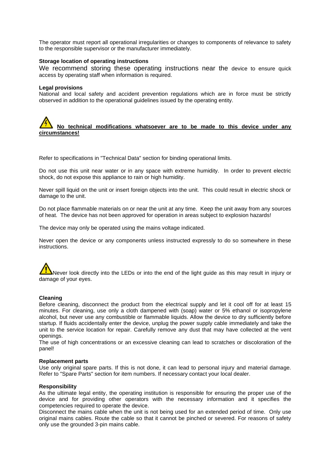The operator must report all operational irregularities or changes to components of relevance to safety to the responsible supervisor or the manufacturer immediately.

### **Storage location of operating instructions**

We recommend storing these operating instructions near the device to ensure quick access by operating staff when information is required.

#### **Legal provisions**

National and local safety and accident prevention regulations which are in force must be strictly observed in addition to the operational guidelines issued by the operating entity.

# **No technical modifications whatsoever are to be made to this device under any circumstances!**

Refer to specifications in "Technical Data" section for binding operational limits.

Do not use this unit near water or in any space with extreme humidity. In order to prevent electric shock, do not expose this appliance to rain or high humidity.

Never spill liquid on the unit or insert foreign objects into the unit. This could result in electric shock or damage to the unit.

Do not place flammable materials on or near the unit at any time. Keep the unit away from any sources of heat. The device has not been approved for operation in areas subject to explosion hazards!

The device may only be operated using the mains voltage indicated.

Never open the device or any components unless instructed expressly to do so somewhere in these instructions.

# Never look directly into the LEDs or into the end of the light guide as this may result in injury or damage of your eyes.

#### **Cleaning**

Before cleaning, disconnect the product from the electrical supply and let it cool off for at least 15 minutes. For cleaning, use only a cloth dampened with (soap) water or 5% ethanol or isopropylene alcohol, but never use any combustible or flammable liquids. Allow the device to dry sufficiently before startup. If fluids accidentally enter the device, unplug the power supply cable immediately and take the unit to the service location for repair. Carefully remove any dust that may have collected at the vent openings.

The use of high concentrations or an excessive cleaning can lead to scratches or [discoloration](http://dict.leo.org/ende?lp=ende&p=HJfPXW&search=discoloration) of the panel!

### **Replacement parts**

Use only original spare parts. If this is not done, it can lead to personal injury and material damage. Refer to "Spare Parts" section for item numbers. If necessary contact your local dealer.

#### **Responsibility**

As the ultimate legal entity, the operating institution is responsible for ensuring the proper use of the device and for providing other operators with the necessary information and it specifies the competencies required to operate the device.

Disconnect the mains cable when the unit is not being used for an extended period of time. Only use original mains cables. Route the cable so that it cannot be pinched or severed. For reasons of safety only use the grounded 3-pin mains cable.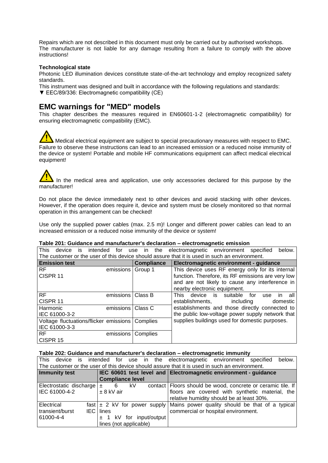Repairs which are not described in this document must only be carried out by authorised workshops. The manufacturer is not liable for any damage resulting from a failure to comply with the above instructions!

## **Technological state**

Photonic LED illumination devices constitute state-of-the-art technology and employ recognized safety standards.

- This instrument was designed and built in accordance with the following regulations and standards:
- ▼ EEC/89/336: Electromagnetic compatibility (CE)

# **EMC warnings for "MED" models**

This chapter describes the measures required in EN60601-1-2 (electromagnetic compatibility) for ensuring electromagnetic compatibility (EMC).

Medical electrical equipment are subject to special precautionary measures with respect to EMC. Failure to observe these instructions can lead to an increased emission or a reduced noise immunity of the device or system! Portable and mobile HF communications equipment can affect medical electrical equipment!

## In the medical area and application, use only accessories declared for this purpose by the manufacturer!

Do not place the device immediately next to other devices and avoid stacking with other devices. However, if the operation does require it, device and system must be closely monitored so that normal operation in this arrangement can be checked!

Use only the supplied power cables (max. 2.5 m)! Longer and different power cables can lead to an increased emission or a reduced noise immunity of the device or system!

## **Table 201: Guidance and manufacturer's declaration – electromagnetic emission**

| <b>This</b><br>intended<br>device<br>IS                                                       | for       | use<br>in.        | the | electromagnetic environment specified              |    |           |     |     |          | below. |
|-----------------------------------------------------------------------------------------------|-----------|-------------------|-----|----------------------------------------------------|----|-----------|-----|-----|----------|--------|
| The customer or the user of this device should assure that it is used in such an environment. |           |                   |     |                                                    |    |           |     |     |          |        |
| <b>Emission test</b>                                                                          |           | <b>Compliance</b> |     | Electromagnetic environment - guidance             |    |           |     |     |          |        |
| <b>RF</b>                                                                                     | emissions | Group 1           |     | This device uses RF energy only for its internal   |    |           |     |     |          |        |
| CISPR <sub>11</sub>                                                                           |           |                   |     | function. Therefore, its RF emissions are very low |    |           |     |     |          |        |
|                                                                                               |           |                   |     | and are not likely to cause any interference in    |    |           |     |     |          |        |
|                                                                                               |           |                   |     | nearby electronic equipment.                       |    |           |     |     |          |        |
| RF.                                                                                           | emissions | Class B           |     | <b>This</b><br>device                              | is | suitable  | for | use | in.      | all    |
| CISPR 11                                                                                      |           |                   |     | establishments.                                    |    | including |     |     | domestic |        |
| Harmonic                                                                                      | emissions | Class C           |     | establishments and those directly connected to     |    |           |     |     |          |        |
| IEC 61000-3-2                                                                                 |           |                   |     | the public low-voltage power supply network that   |    |           |     |     |          |        |
| Voltage fluctuations/flicker emissions                                                        |           | Complies          |     | supplies buildings used for domestic purposes.     |    |           |     |     |          |        |
| IEC 61000-3-3                                                                                 |           |                   |     |                                                    |    |           |     |     |          |        |
| <b>RF</b>                                                                                     | emissions | Complies          |     |                                                    |    |           |     |     |          |        |
| CISPR 15                                                                                      |           |                   |     |                                                    |    |           |     |     |          |        |

### **Table 202: Guidance and manufacturer's declaration – electromagnetic immunity**

| l This<br>is<br>device        |                         | intended for use in the electromagnetic environment specified<br>below.                       |
|-------------------------------|-------------------------|-----------------------------------------------------------------------------------------------|
|                               |                         | The customer or the user of this device should assure that it is used in such an environment. |
| <b>Immunity test</b>          |                         | IEC 60601 test level and Electromagnetic environment - guidance                               |
|                               | <b>Compliance level</b> |                                                                                               |
| Electrostatic discharge $\pm$ | kV.<br>6                | contact   Floors should be wood, concrete or ceramic tile. If                                 |
| IEC 61000-4-2                 | $± 8$ kV air            | floors are covered with synthetic material, the                                               |
|                               |                         | relative humidity should be at least 30%.                                                     |
| Electrical                    |                         | fast $\vert \pm 2 \vert$ kV for power supply Mains power quality should be that of a typical  |
| transient/burst               | <b>IEC</b> lines        | commercial or hospital environment.                                                           |
| 61000-4-4                     | 1 kV for input/output   |                                                                                               |
|                               | lines (not applicable)  |                                                                                               |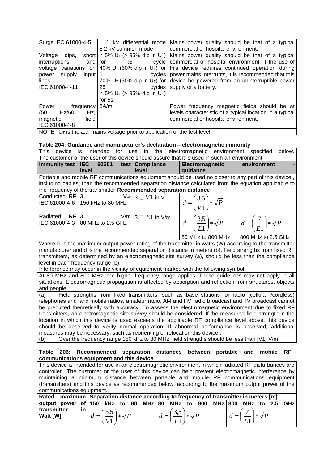| Surge IEC 61000-4-5                                                                                            |                                                           | $\pm$ 1 kV differential mode Mains power quality should be that of a typical                                          |  |  |  |
|----------------------------------------------------------------------------------------------------------------|-----------------------------------------------------------|-----------------------------------------------------------------------------------------------------------------------|--|--|--|
|                                                                                                                | ± 2 kV common mode                                        | commercial or hospital environment.                                                                                   |  |  |  |
| Voltage<br>dips,                                                                                               |                                                           | short $ $ < 5% U <sub>T</sub> (> 95% dip in U <sub>T</sub> )   Mains power quality should be that of a typical        |  |  |  |
| interruptions<br>and for                                                                                       | $\frac{1}{2}$                                             | cycle   commercial or hospital environment. If the use of                                                             |  |  |  |
| voltage                                                                                                        |                                                           | variations on   40% U <sub>T</sub> (60% dip in U <sub>T</sub> ) for   this device requires continued operation during |  |  |  |
| $input \mid 5$<br>supply<br>power                                                                              |                                                           | cycles   power mains interrupts, it is recommended that this                                                          |  |  |  |
| lines                                                                                                          |                                                           | 70% $U_T$ (30% dip in $U_T$ ) for device be powered from an uninterruptible power                                     |  |  |  |
| IEC 61000-4-11                                                                                                 | 25                                                        | cycles supply or a battery.                                                                                           |  |  |  |
|                                                                                                                | $< 5\%$ U <sub>T</sub> ( $> 95\%$ dip in U <sub>T</sub> ) |                                                                                                                       |  |  |  |
|                                                                                                                | for 5s                                                    |                                                                                                                       |  |  |  |
| Power<br>frequency 3A/m                                                                                        |                                                           | Power frequency magnetic fields should be at                                                                          |  |  |  |
| Hz/60<br>Hz)<br>(50)                                                                                           |                                                           | levels characteristic of a typical location in a typical                                                              |  |  |  |
| field<br>magnetic                                                                                              |                                                           | commercial or hospital environment.                                                                                   |  |  |  |
| IEC 61000-4-8                                                                                                  |                                                           |                                                                                                                       |  |  |  |
| $\overline{\phantom{a}}$ NOTE U <sub>T</sub> is the a.c. mains voltage prior to application of the test level. |                                                           |                                                                                                                       |  |  |  |

## **Table 204: Guidance and manufacturer's declaration – electromagnetic immunity**

|                                                                                                           |                                                                   |                                  | rasiv 201. Odiadirov dria mandialacianon o avoididaton - vivodi omagnotiv minitanity                    |             |
|-----------------------------------------------------------------------------------------------------------|-------------------------------------------------------------------|----------------------------------|---------------------------------------------------------------------------------------------------------|-------------|
| <b>This</b><br>device                                                                                     | is                                                                |                                  | intended for use in the electromagnetic environment specified                                           | below.      |
|                                                                                                           |                                                                   |                                  | The customer or the user of this device should assure that it is used in such an environment.           |             |
| Immunity test $ $ IEC                                                                                     |                                                                   | 60601 test Compliance            | Electromagnetic                                                                                         | environment |
|                                                                                                           | level                                                             | level                            | guidance                                                                                                |             |
|                                                                                                           |                                                                   |                                  | Portable and mobile RF communications equipment should be used no closer to any part of this device,    |             |
|                                                                                                           |                                                                   |                                  | including cables, than the recommended separation distance calculated from the equation applicable to   |             |
|                                                                                                           | the frequency of the transmitter: Recommended separation distance |                                  |                                                                                                         |             |
| Conducted RF 3                                                                                            |                                                                   | $V_{\sf eff}$ 3 $\Box$ $V1$ in V |                                                                                                         |             |
|                                                                                                           | IEC 61000-4-6   150 kHz to 80 MHz                                 |                                  | $d = \left(\frac{3.5}{V1}\right) * \sqrt{P}$                                                            |             |
|                                                                                                           |                                                                   |                                  |                                                                                                         |             |
| Radiated                                                                                                  | $RF 3$ $V/m 3 \Box E1$ in $V/m$                                   |                                  |                                                                                                         |             |
|                                                                                                           | IEC 61000-4-3 80 MHz to 2.5 GHz                                   |                                  | $d = \left(\frac{3.5}{E1}\right) * \sqrt{P}$ $d = \left(\frac{7}{E1}\right) * \sqrt{P}$                 |             |
|                                                                                                           |                                                                   |                                  |                                                                                                         |             |
|                                                                                                           |                                                                   |                                  | 80 MHz to 800 MHz 800 MHz to 2.5 GHz                                                                    |             |
|                                                                                                           |                                                                   |                                  | Where P is the maximum output power rating of the transmitter in watts (W) according to the transmitter |             |
|                                                                                                           |                                                                   |                                  | manufacturer and d is the recommended separation distance in meters (b). Field strengths from fixed RF  |             |
|                                                                                                           |                                                                   |                                  | transmitters, as determined by an electromagnetic site survey (a), should be less than the compliance   |             |
| level in each frequency range (b).                                                                        |                                                                   |                                  |                                                                                                         |             |
| Interference may occur in the vicinity of equipment marked with the following symbol:                     |                                                                   |                                  |                                                                                                         |             |
| At 80 MHz and 800 MHz, the higher frequency range applies. These guidelines may not apply in all          |                                                                   |                                  |                                                                                                         |             |
| situations. Electromagnetic propagation is affected by absorption and reflection from structures, objects |                                                                   |                                  |                                                                                                         |             |
| and people.                                                                                               |                                                                   |                                  |                                                                                                         |             |
| (a)                                                                                                       |                                                                   |                                  | Field strengths from fixed transmitters, such as base stations for radio (cellular /cordless)           |             |
|                                                                                                           |                                                                   |                                  | telephones and land mobile radios, amateur radio, AM and FM radio broadcast and TV broadcast cannot     |             |

telephones and land mobile radios, amateur radio, AM and FM radio broadcast and TV broadcast cannot be predicted theoretically with accuracy. To assess the electromagnetic environment due to fixed RF transmitters, an electromagnetic site survey should be considered. If the measured field strength in the location in which this device is used exceeds the applicable RF compliance level above, this device should be observed to verify normal operation. If abnormal performance is observed, additional measures may be necessary, such as reorienting or relocation this device .

(b) Over the frequency range 150 kHz to 80 MHz, field strengths should be less than [V1] V/m.

## **Table 206: Recommended separation distances between portable and mobile RF communications equipment and this device**

This device is intended for use in an electromagnetic environment in which radiated RF disturbances are controlled. The customer or the user of this device can help prevent electromagnetic interference by maintaining a minimum distance between portable and mobile RF communications equipment (transmitters) and this device as recommended below, according to the maximum output power of the communications equipment.

| $\mid$ Rated $\mid$ maximum $\mid$ Separation distance according to frequency of transmitter in meters [m]               |               |  |  |                                              |                                              |  |  |                                            |  |  |
|--------------------------------------------------------------------------------------------------------------------------|---------------|--|--|----------------------------------------------|----------------------------------------------|--|--|--------------------------------------------|--|--|
| $\mid$ output power of $\mid$ 150 kHz to 80 MHz $\mid$ 80 MHz to 800 MHz $\mid$ 800 MHz to 2.5 GHz $\mid$<br>transmitter | $\mathsf{in}$ |  |  |                                              |                                              |  |  |                                            |  |  |
| <b>Watt [W]</b>                                                                                                          |               |  |  | $d = \left(\frac{3.5}{V1}\right) * \sqrt{P}$ | $d = \left(\frac{3.5}{E1}\right) * \sqrt{P}$ |  |  | $d = \left(\frac{7}{E1}\right) * \sqrt{P}$ |  |  |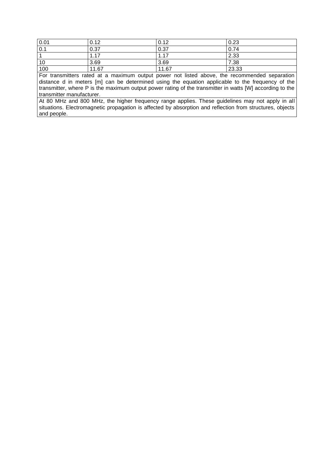| 0.01 | 0.12  | 0.12  | 0.23  |
|------|-------|-------|-------|
| 0.1  | 0.37  | 0.37  | 0.74  |
| - 1  | 1.17  | 1.17  | 2.33  |
| 10   | 3.69  | 3.69  | 7.38  |
| 100  | 11.67 | 11.67 | 23.33 |

For transmitters rated at a maximum output power not listed above, the recommended separation distance d in meters [m] can be determined using the equation applicable to the frequency of the transmitter, where P is the maximum output power rating of the transmitter in watts [W] according to the transmitter manufacturer.

At 80 MHz and 800 MHz, the higher frequency range applies. These guidelines may not apply in all situations. Electromagnetic propagation is affected by absorption and reflection from structures, objects and people.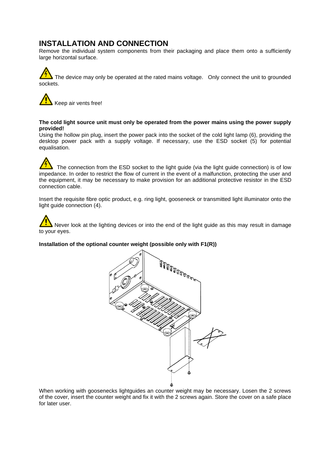# **INSTALLATION AND CONNECTION**

Remove the individual system components from their packaging and place them onto a sufficiently large horizontal surface.

The device may only be operated at the rated mains voltage. Only connect the unit to grounded sockets.



## **The cold light source unit must only be operated from the power mains using the power supply provided!**

Using the hollow pin plug, insert the power pack into the socket of the cold light lamp (6), providing the desktop power pack with a supply voltage. If necessary, use the ESD socket (5) for potential equalisation.

The connection from the ESD socket to the light guide (via the light guide connection) is of low impedance. In order to restrict the flow of current in the event of a malfunction, protecting the user and the equipment, it may be necessary to make provision for an additional protective resistor in the ESD connection cable.

Insert the requisite fibre optic product, e.g. ring light, gooseneck or transmitted light illuminator onto the light guide connection (4).

Never look at the lighting devices or into the end of the light guide as this may result in damage to your eyes.

## **Installation of the optional counter weight (possible only with F1(R))**



When working with goosenecks lightguides an counter weight may be necessary. Losen the 2 screws of the cover, insert the counter weight and fix it with the 2 screws again. Store the cover on a safe place for later user.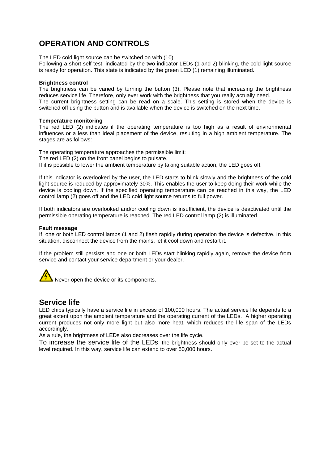# **OPERATION AND CONTROLS**

The LED cold light source can be switched on with (10).

Following a short self test, indicated by the two indicator LEDs (1 and 2) blinking, the cold light source is ready for operation. This state is indicated by the green LED (1) remaining illuminated.

## **Brightness control**

The brightness can be varied by turning the button (3). Please note that increasing the brightness reduces service life. Therefore, only ever work with the brightness that you really actually need. The current brightness setting can be read on a scale. This setting is stored when the device is switched off using the button and is available when the device is switched on the next time.

## **Temperature monitoring**

The red LED (2) indicates if the operating temperature is too high as a result of environmental influences or a less than ideal placement of the device, resulting in a high ambient temperature. The stages are as follows:

The operating temperature approaches the permissible limit: The red LED (2) on the front panel begins to pulsate. If it is possible to lower the ambient temperature by taking suitable action, the LED goes off.

If this indicator is overlooked by the user, the LED starts to blink slowly and the brightness of the cold light source is reduced by approximately 30%. This enables the user to keep doing their work while the device is cooling down. If the specified operating temperature can be reached in this way, the LED control lamp (2) goes off and the LED cold light source returns to full power.

If both indicators are overlooked and/or cooling down is insufficient, the device is deactivated until the permissible operating temperature is reached. The red LED control lamp (2) is illuminated.

## **Fault message**

If one or both LED control lamps (1 and 2) flash rapidly during operation the device is defective. In this situation, disconnect the device from the mains, let it cool down and restart it.

If the problem still persists and one or both LEDs start blinking rapidly again, remove the device from service and contact your service department or your dealer.



# **Service life**

LED chips typically have a service life in excess of 100,000 hours. The actual service life depends to a great extent upon the ambient temperature and the operating current of the LEDs. A higher operating current produces not only more light but also more heat, which reduces the life span of the LEDs accordingly.

As a rule, the brightness of LEDs also decreases over the life cycle.

To increase the service life of the LEDs, the brightness should only ever be set to the actual level required. In this way, service life can extend to over 50,000 hours.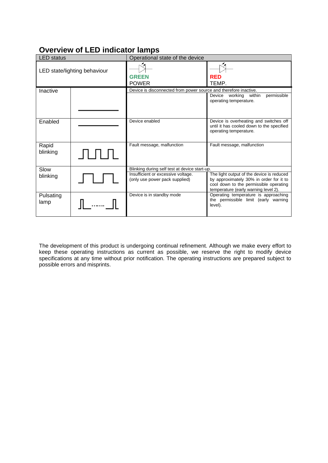# **Overview of LED indicator lamps**

| <b>LED</b> status            |  | Operational state of the device                                      |                                                                                                                                                                        |
|------------------------------|--|----------------------------------------------------------------------|------------------------------------------------------------------------------------------------------------------------------------------------------------------------|
| LED state/lighting behaviour |  | <b>GREEN</b><br><b>POWER</b>                                         | <b>RED</b><br>TEMP.                                                                                                                                                    |
| Inactive                     |  | Device is disconnected from power source and therefore inactive.     | permissible<br>Device working<br>within<br>operating temperature.                                                                                                      |
| Enabled                      |  | Device enabled                                                       | Device is overheating and switches off<br>until it has cooled down to the specified<br>operating temperature.                                                          |
| Rapid<br>blinking            |  | Fault message, malfunction                                           | Fault message, malfunction                                                                                                                                             |
| Slow                         |  | Blinking during self test at device start-up.                        |                                                                                                                                                                        |
| blinking                     |  | Insufficient or excessive voltage.<br>(only use power pack supplied) | The light output of the device is reduced<br>by approximately 30% in order for it to<br>cool down to the permissible operating<br>temperature (early warning level 2). |
| Pulsating<br>lamp            |  | Device is in standby mode                                            | Operating temperature is approaching<br>the permissible limit (early warning<br>level).                                                                                |

The development of this product is undergoing continual refinement. Although we make every effort to keep these operating instructions as current as possible, we reserve the right to modify device specifications at any time without prior notification. The operating instructions are prepared subject to possible errors and misprints.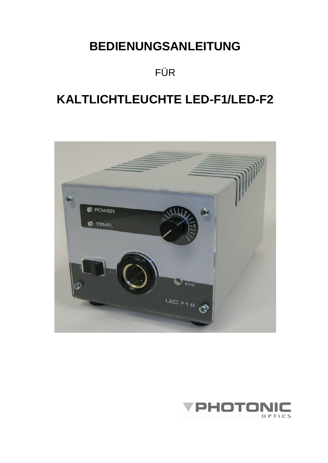# **BEDIENUNGSANLEITUNG**

# FÜR

# **KALTLICHTLEUCHTE LED-F1/LED-F2**



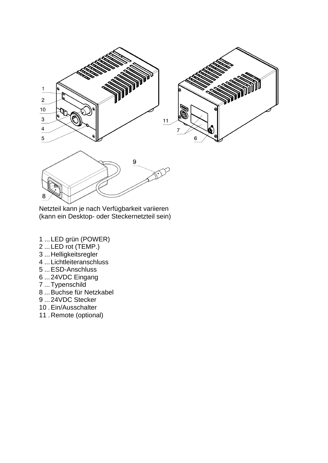

Netzteil kann je nach Verfügbarkeit variieren (kann ein Desktop- oder Steckernetzteil sein)

- ...LED grün (POWER)
- ...LED rot (TEMP.)
- ...Helligkeitsregler
- ...Lichtleiteranschluss
- ...ESD-Anschluss
- ...24VDC Eingang
- ...Typenschild
- ...Buchse für Netzkabel
- ...24VDC Stecker
- .Ein/Ausschalter
- .Remote (optional)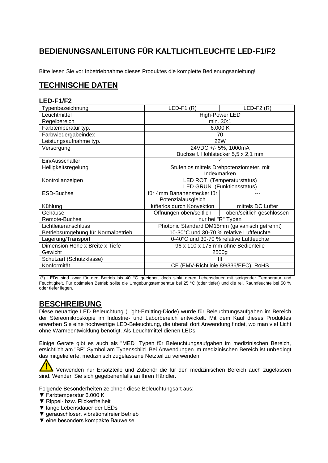# **BEDIENUNGSANLEITUNG FÜR KALTLICHTLEUCHTE LED-F1/F2**

Bitte lesen Sie vor Inbetriebnahme dieses Produktes die komplette Bedienungsanleitung!

# **TECHNISCHE DATEN**

# **LED-F1/F2**

| Typenbezeichnung                   | $LED-F1(R)$<br>$LED-F2(R)$              |                                                |  |  |  |  |
|------------------------------------|-----------------------------------------|------------------------------------------------|--|--|--|--|
| Leuchtmittel                       | High-Power LED                          |                                                |  |  |  |  |
| Regelbereich                       | min. 30:1                               |                                                |  |  |  |  |
| Farbtemperatur typ.                |                                         | 6.000 K                                        |  |  |  |  |
| Farbwiedergabeindex                |                                         | 70                                             |  |  |  |  |
| Leistungsaufnahme typ.             |                                         | 22W                                            |  |  |  |  |
| Versorgung                         |                                         | 24VDC +/- 5%, 1000mA                           |  |  |  |  |
|                                    |                                         | Buchse f. Hohlstecker 5,5 x 2,1 mm             |  |  |  |  |
| Ein/Ausschalter                    |                                         |                                                |  |  |  |  |
| Helligkeitsregelung                |                                         | Stufenlos mittels Drehpotenziometer, mit       |  |  |  |  |
|                                    |                                         | Indexmarken                                    |  |  |  |  |
| Kontrollanzeigen                   |                                         | LED ROT (Temperaturstatus)                     |  |  |  |  |
|                                    |                                         | LED GRÜN (Funktionsstatus)                     |  |  |  |  |
| ESD-Buchse                         | für 4mm Bananenstecker für              |                                                |  |  |  |  |
|                                    | Potenzialausgleich                      |                                                |  |  |  |  |
| Kühlung                            | lüfterlos durch Konvektion              | mittels DC Lüfter                              |  |  |  |  |
| Gehäuse                            | Öffnungen oben/seitlich                 | oben/seitlich geschlossen                      |  |  |  |  |
| Remote-Buchse                      |                                         | nur bei "R" Typen                              |  |  |  |  |
| Lichtleiteranschluss               |                                         | Photonic Standard DM15mm (galvanisch getrennt) |  |  |  |  |
| Betriebsumgebung für Normalbetrieb |                                         | 10-30°C und 30-70 % relative Luftfeuchte       |  |  |  |  |
| Lagerung/Transport                 | 0-40°C und 30-70 % relative Luftfeuchte |                                                |  |  |  |  |
| Dimension Höhe x Breite x Tiefe    | 96 x 110 x 175 mm ohne Bedienteile      |                                                |  |  |  |  |
| Gewicht                            | 2500g                                   |                                                |  |  |  |  |
| Schutzart (Schutzklasse)           |                                         | Ш                                              |  |  |  |  |
| Konformität                        |                                         | CE (EMV-Richtlinie 89/336/EEC), RoHS           |  |  |  |  |
|                                    |                                         |                                                |  |  |  |  |

(\*) LEDs sind zwar für den Betrieb bis 40 °C geeignet, doch sinkt deren Lebensdauer mit steigender Temperatur und Feuchtigkeit. Für optimalen Betrieb sollte die Umgebungstemperatur bei 25 °C (oder tiefer) und die rel. Raumfeuchte bei 50 % oder tiefer liegen.

# **BESCHREIBUNG**

Diese neuartige LED Beleuchtung (Light-Emitting-Diode) wurde für Beleuchtungsaufgaben im Bereich der Stereomikroskopie im Industrie- und Laborbereich entwickelt. Mit dem Kauf dieses Produktes erwerben Sie eine hochwertige LED-Beleuchtung, die überall dort Anwendung findet, wo man viel Licht ohne Wärmeentwicklung benötigt. Als Leuchtmittel dienen LEDs.

Einige Geräte gibt es auch als "MED" Typen für Beleuchtungsaufgaben im medizinischen Bereich, ersichtlich am "BF" Symbol am Typenschild. Bei Anwendungen im medizinischen Bereich ist unbedingt das mitgelieferte, medizinisch zugelassene Netzteil zu verwenden.

Verwenden nur Ersatzteile und Zubehör die für den medizinischen Bereich auch zugelassen sind. Wenden Sie sich gegebenenfalls an Ihren Händler.

Folgende Besonderheiten zeichnen diese Beleuchtungsart aus:

- ▼ Farbtemperatur 6.000 K
- ▼ Rippel- bzw. Flickerfreiheit
- ▼ lange Lebensdauer der LEDs
- ▼ geräuschloser, vibrationsfreier Betrieb
- ▼ eine besonders kompakte Bauweise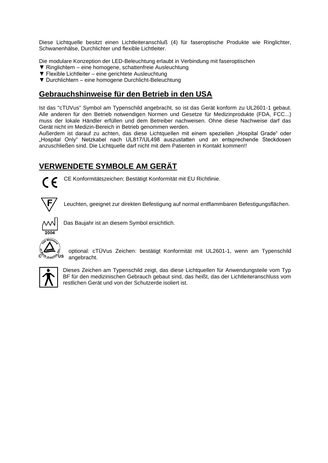Diese Lichtquelle besitzt einen Lichtleiteranschluß (4) für faseroptische Produkte wie Ringlichter, Schwanenhälse, Durchlichter und flexible Lichtleiter.

Die modulare Konzeption der LED-Beleuchtung erlaubt in Verbindung mit faseroptischen

- ▼ Ringlichtern eine homogene, schattenfreie Ausleuchtung
- ▼ Flexible Lichtleiter eine gerichtete Ausleuchtung
- ▼ Durchlichtern eine homogene Durchlicht-Beleuchtung

# **Gebrauchshinweise für den Betrieb in den USA**

Ist das "cTUVus" Symbol am Typenschild angebracht, so ist das Gerät konform zu UL2601-1 gebaut. Alle anderen für den Betrieb notwendigen Normen und Gesetze für Medizinprodukte (FDA, FCC...) muss der lokale Händler erfüllen und dem Betreiber nachweisen. Ohne diese Nachweise darf das Gerät nicht im Medizin-Bereich in Betrieb genommen werden.

Außerdem ist darauf zu achten, das diese Lichtquellen mit einem speziellen "Hospital Grade" oder "Hospital Only" Netzkabel nach UL817/UL498 auszustatten und an entsprechende Steckdosen anzuschließen sind. Die Lichtquelle darf nicht mit dem Patienten in Kontakt kommen!!

# **VERWENDETE SYMBOLE AM GERÄT**



CE Konformitätszeichen: Bestätigt Konformität mit EU Richtlinie.



Leuchten, geeignet zur direkten Befestigung auf normal entflammbaren Befestigungsflächen.



Das Baujahr ist an diesem Symbol ersichtlich.



optional: cTÜVus Zeichen: bestätigt Konformität mit UL2601-1, wenn am Typenschild angebracht.



Dieses Zeichen am Typenschild zeigt, das diese Lichtquellen für Anwendungsteile vom Typ BF für den medizinischen Gebrauch gebaut sind, das heißt, das der Lichtleiteranschluss vom restlichen Gerät und von der Schutzerde isoliert ist.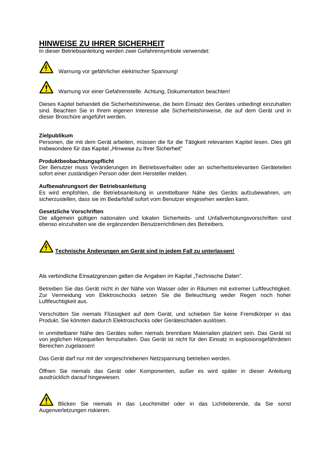# **HINWEISE ZU IHRER SICHERHEIT**

In dieser Betriebsanleitung werden zwei Gefahrensymbole verwendet:



Warnung vor gefährlicher elektrischer Spannung!

Warnung vor einer Gefahrenstelle. Achtung, Dokumentation beachten!

Dieses Kapitel behandelt die Sicherheitshinweise, die beim Einsatz des Gerätes unbedingt einzuhalten sind. Beachten Sie in Ihrem eigenen Interesse alle Sicherheitshinweise, die auf dem Gerät und in dieser Broschüre angeführt werden.

### **Zielpublikum**

Personen, die mit dem Gerät arbeiten, müssen die für die Tätigkeit relevanten Kapitel lesen. Dies gilt insbesondere für das Kapitel "Hinweise zu Ihrer Sicherheit"

### **Produktbeobachtungspflicht**

Der Benutzer muss Veränderungen im Betriebsverhalten oder an sicherheitsrelevanten Geräteteilen sofort einer zuständigen Person oder dem Hersteller melden.

### **Aufbewahrungsort der Betriebsanleitung**

Es wird empfohlen, die Betriebsanleitung in unmittelbarer Nähe des Geräts aufzubewahren, um sicherzustellen, dass sie im Bedarfsfall sofort vom Benutzer eingesehen werden kann.

#### **Gesetzliche Vorschriften**

Die allgemein gültigen nationalen und lokalen Sicherheits- und Unfallverhütungsvorschriften sind ebenso einzuhalten wie die ergänzenden Benutzerrichtlinien des Betreibers.

**Technische Änderungen am Gerät sind in jedem Fall zu unterlassen!**

Als verbindliche Einsatzgrenzen gelten die Angaben im Kapitel "Technische Daten".

Betreiben Sie das Gerät nicht in der Nähe von Wasser oder in Räumen mit extremer Luftfeuchtigkeit. Zur Vermeidung von Elektroschocks setzen Sie die Beleuchtung weder Regen noch hoher Luftfeuchtigkeit aus.

Verschütten Sie niemals Flüssigkeit auf dem Gerät, und schieben Sie keine Fremdkörper in das Produkt. Sie könnten dadurch Elektroschocks oder Geräteschäden auslösen.

In unmittelbarer Nähe des Gerätes sollen niemals brennbare Materialien platziert sein. Das Gerät ist von jeglichen Hitzequellen fernzuhalten. Das Gerät ist nicht für den Einsatz in explosionsgefährdeten Bereichen zugelassen!

Das Gerät darf nur mit der vorgeschriebenen Netzspannung betrieben werden.

Öffnen Sie niemals das Gerät oder Komponenten, außer es wird später in dieser Anleitung ausdrücklich darauf hingewiesen.

Blicken Sie niemals in das Leuchtmittel oder in das Lichtleiterende, da Sie sonst Augenverletzungen riskieren.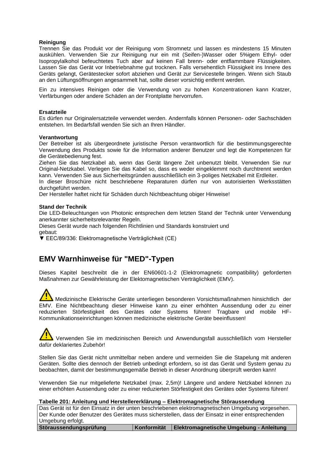## **Reinigung**

Trennen Sie das Produkt vor der Reinigung vom Stromnetz und lassen es mindestens 15 Minuten auskühlen. Verwenden Sie zur Reinigung nur ein mit (Seifen-)Wasser oder 5%igem Ethyl- oder Isopropylalkohol befeuchtetes Tuch aber auf keinen Fall brenn- oder entflammbare Flüssigkeiten. Lassen Sie das Gerät vor Inbetriebnahme gut trocknen. Falls versehentlich Flüssigkeit ins Innere des Geräts gelangt, Gerätestecker sofort abziehen und Gerät zur Servicestelle bringen. Wenn sich Staub an den Lüftungsöffnungen angesammelt hat, sollte dieser vorsichtig entfernt werden.

Ein zu intensives Reinigen oder die Verwendung von zu hohen Konzentrationen kann Kratzer, Verfärbungen oder andere Schäden an der Frontplatte hervorrufen.

## **Ersatzteile**

Es dürfen nur Originalersatzteile verwendet werden. Andernfalls können Personen- oder Sachschäden entstehen. Im Bedarfsfall wenden Sie sich an Ihren Händler.

### **Verantwortung**

Der Betreiber ist als übergeordnete juristische Person verantwortlich für die bestimmungsgerechte Verwendung des Produkts sowie für die Information anderer Benutzer und legt die Kompetenzen für die Gerätebedienung fest.

Ziehen Sie das Netzkabel ab, wenn das Gerät längere Zeit unbenutzt bleibt. Verwenden Sie nur Original-Netzkabel. Verlegen Sie das Kabel so, dass es weder eingeklemmt noch durchtrennt werden kann. Verwenden Sie aus Sicherheitsgründen ausschließlich ein 3-poliges Netzkabel mit Erdleiter.

In dieser Broschüre nicht beschriebene Reparaturen dürfen nur von autorisierten Werksstätten durchgeführt werden.

Der Hersteller haftet nicht für Schäden durch Nichtbeachtung obiger Hinweise!

### **Stand der Technik**

Die LED-Beleuchtungen von Photonic entsprechen dem letzten Stand der Technik unter Verwendung anerkannter sicherheitsrelevanter Regeln.

Dieses Gerät wurde nach folgenden Richtlinien und Standards konstruiert und gebaut:

▼ EEC/89/336: Elektromagnetische Verträglichkeit (CE)

# **EMV Warnhinweise für "MED"-Typen**

Dieses Kapitel beschreibt die in der EN60601-1-2 (Elektromagnetic compatibility) geforderten Maßnahmen zur Gewährleistung der Elektomagnetischen Verträglichkeit (EMV).

Medizinische Elektrische Geräte unterliegen besonderen Vorsichtsmaßnahmen hinsichtlich der EMV. Eine Nichtbeachtung dieser Hinweise kann zu einer erhöhten Aussendung oder zu einer reduzierten Störfestigkeit des Gerätes oder Systems führen! Tragbare und mobile HF-Kommunikationseinrichtungen können medizinische elektrische Geräte beeinflussen!

# Verwenden Sie im medizinischen Bereich und Anwendungsfall ausschließlich vom Hersteller dafür deklariertes Zubehör!

Stellen Sie das Gerät nicht unmittelbar neben andere und vermeiden Sie die Stapelung mit anderen Geräten. Sollte dies dennoch der Betrieb unbedingt erfordern, so ist das Gerät und System genau zu beobachten, damit der bestimmungsgemäße Betrieb in dieser Anordnung überprüft werden kann!

Verwenden Sie nur mitgelieferte Netzkabel (max. 2,5m)! Längere und andere Netzkabel können zu einer erhöhten Aussendung oder zu einer reduzierten Störfestigkeit des Gerätes oder Systems führen!

**Tabelle 201: Anleitung und Herstellererklärung – Elektromagnetische Störaussendung**

Das Gerät ist für den Einsatz in der unten beschriebenen elektromagnetischen Umgebung vorgesehen. Der Kunde oder Benutzer des Gerätes muss sicherstellen, dass der Einsatz in einer entsprechenden Umgebung erfolgt.

**Störaussendungsprüfung Konformität Elektromagnetische Umgebung - Anleitung**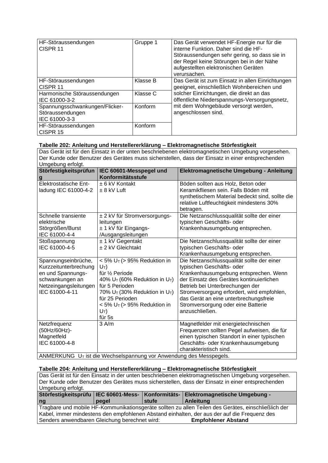| HF-Störaussendungen<br>CISPR <sub>11</sub>                          | Gruppe 1 | Das Gerät verwendet HF-Energie nur für die<br>interne Funktion. Daher sind die HF-<br>Störaussendungen sehr gering, so dass sie in<br>der Regel keine Störungen bei in der Nähe<br>aufgestellten elektronischen Geräten<br>verursachen. |
|---------------------------------------------------------------------|----------|-----------------------------------------------------------------------------------------------------------------------------------------------------------------------------------------------------------------------------------------|
| HF-Störaussendungen<br>CISPR <sub>11</sub>                          | Klasse B | Das Gerät ist zum Einsatz in allen Einrichtungen<br>geeignet, einschließlich Wohnbereichen und                                                                                                                                          |
| Harmonische Störaussendungen<br>IEC 61000-3-2                       | Klasse C | solcher Einrichtungen, die direkt an das<br>öffentliche Niederspannungs-Versorgungsnetz,                                                                                                                                                |
| Spannungsschwankungen/Flicker-<br>Störaussendungen<br>IEC 61000-3-3 | Konform  | mit dem Wohngebäude versorgt werden,<br>angeschlossen sind.                                                                                                                                                                             |
| HF-Störaussendungen<br>CISPR 15                                     | Konform  |                                                                                                                                                                                                                                         |

# **Tabelle 202: Anleitung und Herstellererklärung – Elektromagnetische Störfestigkeit**

Das Gerät ist für den Einsatz in der unten beschriebenen elektromagnetischen Umgebung vorgesehen. Der Kunde oder Benutzer des Gerätes muss sicherstellen, dass der Einsatz in einer entsprechenden Umgebung erfolgt.

| Störfestigkeitsprüfun                                               | IEC 60601-Messpegel und                      | Elektromagnetische Umgebung - Anleitung                                                 |  |  |  |
|---------------------------------------------------------------------|----------------------------------------------|-----------------------------------------------------------------------------------------|--|--|--|
| <u>g</u>                                                            | Konformitätsstufe                            |                                                                                         |  |  |  |
| Elektrostatische Ent-                                               | ± 6 kV Kontakt                               | Böden sollten aus Holz, Beton oder                                                      |  |  |  |
| ladung IEC 61000-4-2                                                | $± 8$ kV Luft                                | Keramikfliesen sein. Falls Böden mit<br>synthetischem Material bedeckt sind, sollte die |  |  |  |
|                                                                     |                                              | relative Luftfeuchtigkeit mindestens 30%                                                |  |  |  |
|                                                                     |                                              | betragen.                                                                               |  |  |  |
| Schnelle transiente                                                 | ± 2 kV für Stromversorgungs-                 | Die Netzanschlussqualität sollte der einer                                              |  |  |  |
| elektrische                                                         | leitungen                                    | typischen Geschäfts- oder                                                               |  |  |  |
| Störgrößen/Burst                                                    | ± 1 kV für Eingangs-                         | Krankenhausumgebung entsprechen.                                                        |  |  |  |
| IEC 61000-4-4                                                       | /Ausgangsleitungen                           |                                                                                         |  |  |  |
| Stoßspannung                                                        | ± 1 kV Gegentakt                             | Die Netzanschlussqualität sollte der einer                                              |  |  |  |
| IEC 61000-4-5                                                       | ± 2 kV Gleichtakt                            | typischen Geschäfts- oder                                                               |  |  |  |
|                                                                     |                                              | Krankenhausumgebung entsprechen.                                                        |  |  |  |
| Spannungseinbrüche,                                                 | $<$ 5% U <sub>T</sub> ( $>$ 95% Reduktion in | Die Netzanschlussqualität sollte der einer                                              |  |  |  |
| Kurzzeitunterbrechung                                               | $U_T$ )                                      | typischen Geschäfts- oder                                                               |  |  |  |
| en und Spannungs-                                                   | für 1/ <sub>2</sub> Periode                  | Krankenhausumgebung entsprechen. Wenn                                                   |  |  |  |
| schwankungen an                                                     | 40% $U_T$ (60% Reduktion in $U_T$ )          | der Einsatz des Gerätes kontinuierlichen                                                |  |  |  |
| Netzeingangsleitungen                                               | für 5 Perioden                               | Betrieb bei Unterbrechungen der                                                         |  |  |  |
| IEC 61000-4-11                                                      | 70% $U_T$ (30% Reduktion in $U_T$ )          | Stromversorgung erfordert, wird empfohlen,                                              |  |  |  |
|                                                                     | für 25 Perioden                              | das Gerät an eine unterbrechungsfreie                                                   |  |  |  |
|                                                                     | $<$ 5% U <sub>T</sub> (> 95% Reduktion in    | Stromversorgung oder eine Batterie                                                      |  |  |  |
|                                                                     | $U_T$ )                                      | anzuschließen.                                                                          |  |  |  |
|                                                                     | für 5s                                       |                                                                                         |  |  |  |
| Netzfrequenz                                                        | 3 A/m                                        | Magnetfelder mit energietechnischen                                                     |  |  |  |
| (50Hz/60Hz)-                                                        |                                              | Frequenzen sollten Pegel aufweisen, die für                                             |  |  |  |
| Magnetfeld                                                          |                                              | einen typischen Standort in einer typischen                                             |  |  |  |
| IEC 61000-4-8                                                       |                                              | Geschäfts- oder Krankenhausumgebung                                                     |  |  |  |
|                                                                     |                                              | charakteristisch sind.                                                                  |  |  |  |
| ANIMERKLING LE jet die Wechselspannung vor Anwendung des Messpegels |                                              |                                                                                         |  |  |  |

ANMERKUNG U<sup>T</sup> ist die Wechselspannung vor Anwendung des Messpegels.

## **Tabelle 204: Anleitung und Herstellererklärung – Elektromagnetische Störfestigkeit**

Das Gerät ist für den Einsatz in der unten beschriebenen elektromagnetischen Umgebung vorgesehen. Der Kunde oder Benutzer des Gerätes muss sicherstellen, dass der Einsatz in einer entsprechenden Umgebung erfolgt.

|                                                                                             |                                                                                                     |          | Störfestigkeitsprüfu   IEC 60601-Mess-   Konformitäts-   Elektromagnetische Umgebung - |  |  |  |
|---------------------------------------------------------------------------------------------|-----------------------------------------------------------------------------------------------------|----------|----------------------------------------------------------------------------------------|--|--|--|
| ng                                                                                          | pegel                                                                                               | ∣ stufe∶ | <b>Anleitung</b>                                                                       |  |  |  |
|                                                                                             | Tragbare und mobile HF-Kommunikationsgeräte sollten zu allen Teilen des Gerätes, einschließlich der |          |                                                                                        |  |  |  |
| Kabel, immer mindestens den empfohlenen Abstand einhalten, der aus der auf die Frequenz des |                                                                                                     |          |                                                                                        |  |  |  |
| Senders anwendbaren Gleichung berechnet wird:<br><b>Empfohlener Abstand</b>                 |                                                                                                     |          |                                                                                        |  |  |  |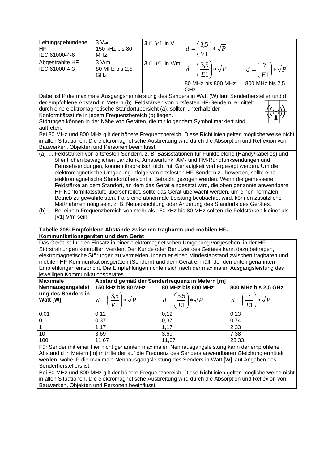| Leitungsgebundene                                                                                     | $3V_{\text{eff}}$ | $3 \square V1$ in V |                                                                                                                                            |                 |  |  |
|-------------------------------------------------------------------------------------------------------|-------------------|---------------------|--------------------------------------------------------------------------------------------------------------------------------------------|-----------------|--|--|
| <b>HF</b>                                                                                             | 150 kHz bis 80    |                     | $d = \left(\frac{3.5}{V1}\right) * \sqrt{P}$                                                                                               |                 |  |  |
| IEC 61000-4-6                                                                                         | <b>MHz</b>        |                     |                                                                                                                                            |                 |  |  |
| Abgestrahlte HF                                                                                       | 3 V/m             |                     |                                                                                                                                            |                 |  |  |
| IEC 61000-4-3                                                                                         | 80 MHz bis 2,5    |                     |                                                                                                                                            |                 |  |  |
|                                                                                                       | GHz               |                     | $\overline{3 \square E1 \text{ in } \mathsf{V/m}}$ $d = \left(\frac{3.5}{E1}\right) * \sqrt{P}$ $d = \left(\frac{7}{E1}\right) * \sqrt{P}$ |                 |  |  |
|                                                                                                       |                   |                     | 80 MHz bis 800 MHz                                                                                                                         | 800 MHz bis 2,5 |  |  |
|                                                                                                       |                   |                     | GHz                                                                                                                                        |                 |  |  |
| Dabei ist P die maximale Ausgangsnennleistung des Senders in Watt (W) laut Senderhersteller und d     |                   |                     |                                                                                                                                            |                 |  |  |
| der empfohlene Abstand in Metern (b). Feldstärken von ortsfesten HF-Sendern, ermittelt                |                   |                     |                                                                                                                                            |                 |  |  |
| durch eine elektromagnetische Standortübersicht (a), sollten unterhalb der                            |                   |                     |                                                                                                                                            |                 |  |  |
| Konformitätsstufe in jedem Frequenzbereich (b) liegen.                                                |                   |                     |                                                                                                                                            |                 |  |  |
|                                                                                                       |                   |                     | Störungen können in der Nähe von Geräten, die mit folgendem Symbol markiert sind,                                                          |                 |  |  |
| auftreten:                                                                                            |                   |                     |                                                                                                                                            |                 |  |  |
| Bei 80 MHz und 800 MHz gilt der höhere Frequenzbereich. Diese Richtlinien gelten möglicherweise nicht |                   |                     |                                                                                                                                            |                 |  |  |
| in allen Situationen. Die elektromagnetische Ausbreitung wird durch die Absorption und Reflexion von  |                   |                     |                                                                                                                                            |                 |  |  |
| Bauwerken, Objekten und Personen beeinflusst.                                                         |                   |                     |                                                                                                                                            |                 |  |  |
| (a)  Feldstärken von ortsfesten Sendern, z. B. Basisstationen für Funktelefone (Handy/kabellos) und   |                   |                     |                                                                                                                                            |                 |  |  |
| öffentlichen beweglichen Landfunk, Amateurfunk, AM- und FM-Rundfunksendungen und                      |                   |                     |                                                                                                                                            |                 |  |  |
| Fernsehsendungen, können theoretisch nicht mit Genauigkeit vorhergesagt werden. Um die                |                   |                     |                                                                                                                                            |                 |  |  |
| elektromagnetische Umgebung infolge von ortsfesten HF-Sendern zu bewerten, sollte eine                |                   |                     |                                                                                                                                            |                 |  |  |
| elektromagnetische Standortübersicht in Betracht gezogen werden. Wenn die gemessene                   |                   |                     |                                                                                                                                            |                 |  |  |
| Feldstärke an dem Standort, an dem das Gerät eingesetzt wird, die oben genannte anwendbare            |                   |                     |                                                                                                                                            |                 |  |  |
| HF-Konformitätsstufe überschreitet, sollte das Gerät überwacht werden, um einen normalen              |                   |                     |                                                                                                                                            |                 |  |  |
| Betrieb zu gewährleisten. Falls eine abnormale Leistung beobachtet wird, können zusätzliche           |                   |                     |                                                                                                                                            |                 |  |  |
| Maßnahmen nötig sein, z. B. Neuausrichtung oder Änderung des Standorts des Gerätes.                   |                   |                     |                                                                                                                                            |                 |  |  |
| (b)  Bei einem Frequenzbereich von mehr als 150 kHz bis 80 MHz sollten die Feldstärken kleiner als    |                   |                     |                                                                                                                                            |                 |  |  |
| [V1] V/m sein.                                                                                        |                   |                     |                                                                                                                                            |                 |  |  |

## **Tabelle 206: Empfohlene Abstände zwischen tragbaren und mobilen HF-Kommunikationsgeräten und dem Gerät**

Das Gerät ist für den Einsatz in einer elektromagnetischen Umgebung vorgesehen, in der HF-Störstrahlungen kontrolliert werden. Der Kunde oder Benutzer des Gerätes kann dazu beitragen, elektromagnetische Störungen zu vermeiden, indem er einen Mindestabstand zwischen tragbaren und mobilen HF-Kommunikationsgeräten (Sendern) und dem Gerät einhält, der den unten genannten Empfehlungen entspricht. Die Empfehlungen richten sich nach der maximalen Ausgangsleistung des jeweiligen Kommunikationsgerätes.

| <b>Maximale</b>                                                                                                                                                                                                                                                                                                                       | Abstand gemäß der Senderfrequenz in Metern [m] |                                              |                                            |  |  |
|---------------------------------------------------------------------------------------------------------------------------------------------------------------------------------------------------------------------------------------------------------------------------------------------------------------------------------------|------------------------------------------------|----------------------------------------------|--------------------------------------------|--|--|
| Nennausgangsleist                                                                                                                                                                                                                                                                                                                     | 150 kHz bis 80 MHz                             | 80 MHz bis 800 MHz                           | 800 MHz bis 2,5 GHz                        |  |  |
| $ $ ung des Senders in $ $<br>Watt [W]                                                                                                                                                                                                                                                                                                | $d = \left(\frac{3.5}{V1}\right) * \sqrt{P}$   | $d = \left(\frac{3.5}{E1}\right) * \sqrt{P}$ | $d = \left(\frac{7}{E1}\right) * \sqrt{P}$ |  |  |
| 0,01                                                                                                                                                                                                                                                                                                                                  | 0,12                                           | 0,12                                         | 0,23                                       |  |  |
| 0,1                                                                                                                                                                                                                                                                                                                                   | 0,37                                           | 0,37                                         | 0,74                                       |  |  |
|                                                                                                                                                                                                                                                                                                                                       | 1,17                                           | 1,17                                         | 2,33                                       |  |  |
| 10                                                                                                                                                                                                                                                                                                                                    | 3,69                                           | 3,69                                         | 7,38                                       |  |  |
| 100                                                                                                                                                                                                                                                                                                                                   | 11,67                                          | 11,67                                        | 23,33                                      |  |  |
| Für Sender mit einer hier nicht genannten maximalen Nennausgangsleistung kann der empfohlene<br>$\mathbf{A} \mathbf{I}$ , and a set of the set of the set of the set of the set of the set of the set of the set of the set of the set of the set of the set of the set of the set of the set of the set of the set of the set of the |                                                |                                              |                                            |  |  |

Abstand d in Metern [m] mithilfe der auf die Frequenz des Senders anwendbaren Gleichung ermittelt werden, wobei P die maximale Nennausgangsleistung des Senders in Watt [W] laut Angaben des Senderherstellers ist.

Bei 80 MHz und 800 MHz gilt der höhere Frequenzbereich. Diese Richtlinien gelten möglicherweise nicht in allen Situationen. Die elektromagnetische Ausbreitung wird durch die Absorption und Reflexion von Bauwerken, Objekten und Personen beeinflusst.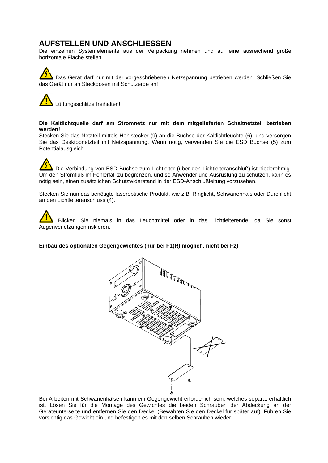# **AUFSTELLEN UND ANSCHLIESSEN**

Die einzelnen Systemelemente aus der Verpackung nehmen und auf eine ausreichend große horizontale Fläche stellen.

Das Gerät darf nur mit der vorgeschriebenen Netzspannung betrieben werden. Schließen Sie das Gerät nur an Steckdosen mit Schutzerde an!

Lüftungsschlitze freihalten!

## **Die Kaltlichtquelle darf am Stromnetz nur mit dem mitgelieferten Schaltnetzteil betrieben werden!**

Stecken Sie das Netzteil mittels Hohlstecker (9) an die Buchse der Kaltlichtleuchte (6), und versorgen Sie das Desktopnetzteil mit Netzspannung. Wenn nötig, verwenden Sie die ESD Buchse (5) zum Potentialausgleich.

Die Verbindung von ESD-Buchse zum Lichtleiter (über den Lichtleiteranschluß) ist niederohmig. Um den Stromfluß im Fehlerfall zu begrenzen, und so Anwender und Ausrüstung zu schützen, kann es nötig sein, einen zusätzlichen Schutzwiderstand in der ESD-Anschlußleitung vorzusehen.

Stecken Sie nun das benötigte faseroptische Produkt, wie z.B. Ringlicht, Schwanenhals oder Durchlicht an den Lichtleiteranschluss (4).

Blicken Sie niemals in das Leuchtmittel oder in das Lichtleiterende, da Sie sonst Augenverletzungen riskieren.

## **Einbau des optionalen Gegengewichtes (nur bei F1(R) möglich, nicht bei F2)**



Bei Arbeiten mit Schwanenhälsen kann ein Gegengewicht erforderlich sein, welches separat erhältlich ist. Lösen Sie für die Montage des Gewichtes die beiden Schrauben der Abdeckung an der Geräteunterseite und entfernen Sie den Deckel (Bewahren Sie den Deckel für später auf). Führen Sie vorsichtig das Gewicht ein und befestigen es mit den selben Schrauben wieder.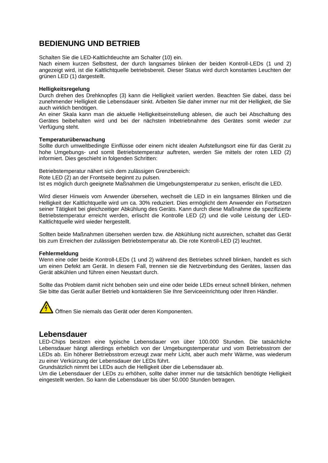# **BEDIENUNG UND BETRIEB**

Schalten Sie die LED-Kaltlichtleuchte am Schalter (10) ein.

Nach einem kurzen Selbsttest, der durch langsames blinken der beiden Kontroll-LEDs (1 und 2) angezeigt wird, ist die Kaltlichtquelle betriebsbereit. Dieser Status wird durch konstantes Leuchten der grünen LED (1) dargestellt.

## **Helligkeitsregelung**

Durch drehen des Drehknopfes (3) kann die Helligkeit variiert werden. Beachten Sie dabei, dass bei zunehmender Helligkeit die Lebensdauer sinkt. Arbeiten Sie daher immer nur mit der Helligkeit, die Sie auch wirklich benötigen.

An einer Skala kann man die aktuelle Helligkeitseinstellung ablesen, die auch bei Abschaltung des Gerätes beibehalten wird und bei der nächsten Inbetriebnahme des Gerätes somit wieder zur Verfügung steht.

## **Temperaturüberwachung**

Sollte durch umweltbedingte Einflüsse oder einem nicht idealen Aufstellungsort eine für das Gerät zu hohe Umgebungs- und somit Betriebstemperatur auftreten, werden Sie mittels der roten LED (2) informiert. Dies geschieht in folgenden Schritten:

Betriebstemperatur nähert sich dem zulässigen Grenzbereich: Rote LED (2) an der Frontseite beginnt zu pulsen. Ist es möglich durch geeignete Maßnahmen die Umgebungstemperatur zu senken, erlischt die LED.

Wird dieser Hinweis vom Anwender übersehen, wechselt die LED in ein langsames Blinken und die Helligkeit der Kaltlichtquelle wird um ca. 30% reduziert. Dies ermöglicht dem Anwender ein Fortsetzen seiner Tätigkeit bei gleichzeitiger Abkühlung des Geräts. Kann durch diese Maßnahme die spezifizierte Betriebstemperatur erreicht werden, erlischt die Kontrolle LED (2) und die volle Leistung der LED-Kaltlichtquelle wird wieder hergestellt.

Sollten beide Maßnahmen übersehen werden bzw. die Abkühlung nicht ausreichen, schaltet das Gerät bis zum Erreichen der zulässigen Betriebstemperatur ab. Die rote Kontroll-LED (2) leuchtet.

### **Fehlermeldung**

Wenn eine oder beide Kontroll-LEDs (1 und 2) während des Betriebes schnell blinken, handelt es sich um einen Defekt am Gerät. In diesem Fall, trennen sie die Netzverbindung des Gerätes, lassen das Gerät abkühlen und führen einen Neustart durch.

Sollte das Problem damit nicht behoben sein und eine oder beide LEDs erneut schnell blinken, nehmen Sie bitte das Gerät außer Betrieb und kontaktieren Sie Ihre Serviceeinrichtung oder Ihren Händler.

Öffnen Sie niemals das Gerät oder deren Komponenten.

# **Lebensdauer**

LED-Chips besitzen eine typische Lebensdauer von über 100.000 Stunden. Die tatsächliche Lebensdauer hängt allerdings erheblich von der Umgebungstemperatur und vom Betriebsstrom der LEDs ab. Ein höherer Betriebsstrom erzeugt zwar mehr Licht, aber auch mehr Wärme, was wiederum zu einer Verkürzung der Lebensdauer der LEDs führt.

Grundsätzlich nimmt bei LEDs auch die Helligkeit über die Lebensdauer ab.

Um die Lebensdauer der LEDs zu erhöhen, sollte daher immer nur die tatsächlich benötigte Helligkeit eingestellt werden. So kann die Lebensdauer bis über 50.000 Stunden betragen.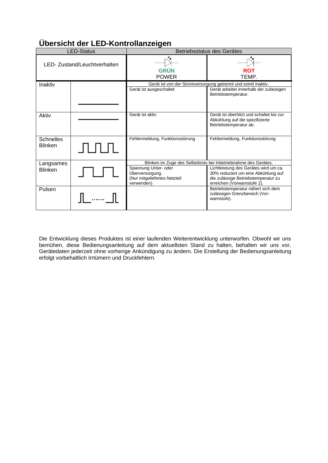| <b>LED-Status</b>                  |  | J<br>Betriebsstatus des Gerätes                                                       |                                                                                                                                                    |  |
|------------------------------------|--|---------------------------------------------------------------------------------------|----------------------------------------------------------------------------------------------------------------------------------------------------|--|
| LED- Zustand/Leuchtverhalten       |  | <b>GRÜN</b><br><b>POWER</b>                                                           | <b>ROT</b><br>TEMP.                                                                                                                                |  |
| Inaktiv                            |  | Gerät ist von der Stromversorgung getrennt und somit inaktiv.                         |                                                                                                                                                    |  |
|                                    |  | Gerät ist ausgeschaltet                                                               | Gerät arbeitet innerhalb der zulässigen<br>Betriebstemperatur.                                                                                     |  |
| Aktiv                              |  | Gerät ist aktiv                                                                       | Gerät ist überhitzt und schaltet bis zur<br>Abkühlung auf die spezifizierte<br>Betriebstemperatur ab.                                              |  |
| <b>Schnelles</b><br><b>Blinken</b> |  | Fehlermeldung, Funktionsstörung                                                       | Fehlermeldung, Funktionsstörung                                                                                                                    |  |
| Langsames                          |  | Blinken im Zuge des Selbsttests bei Inbetriebnahme des Gerätes.                       |                                                                                                                                                    |  |
| <b>Blinken</b>                     |  | Spannung Unter- oder<br>Überversorgung.<br>(Nur mitgeliefertes Netzteil<br>verwenden) | Lichtleistung des Gerätes wird um ca.<br>30% reduziert um eine Abkühlung auf<br>die zulässige Betriebstemperatur zu<br>erreichen (Vorwarnstufe 2). |  |
| Pulsen                             |  |                                                                                       | Betriebstemperatur nähert sich dem<br>zulässigen Grenzbereich (Vor-<br>warnstufe).                                                                 |  |

# **Übersicht der LED-Kontrollanzeigen**

Die Entwicklung dieses Produktes ist einer laufenden Weiterentwicklung unterworfen. Obwohl wir uns bemühen, diese Bedienungsanleitung auf dem aktuellsten Stand zu halten, behalten wir uns vor, Gerätedaten jederzeit ohne vorherige Ankündigung zu ändern. Die Erstellung der Bedienungsanleitung erfolgt vorbehaltlich Irrtümern und Druckfehlern.